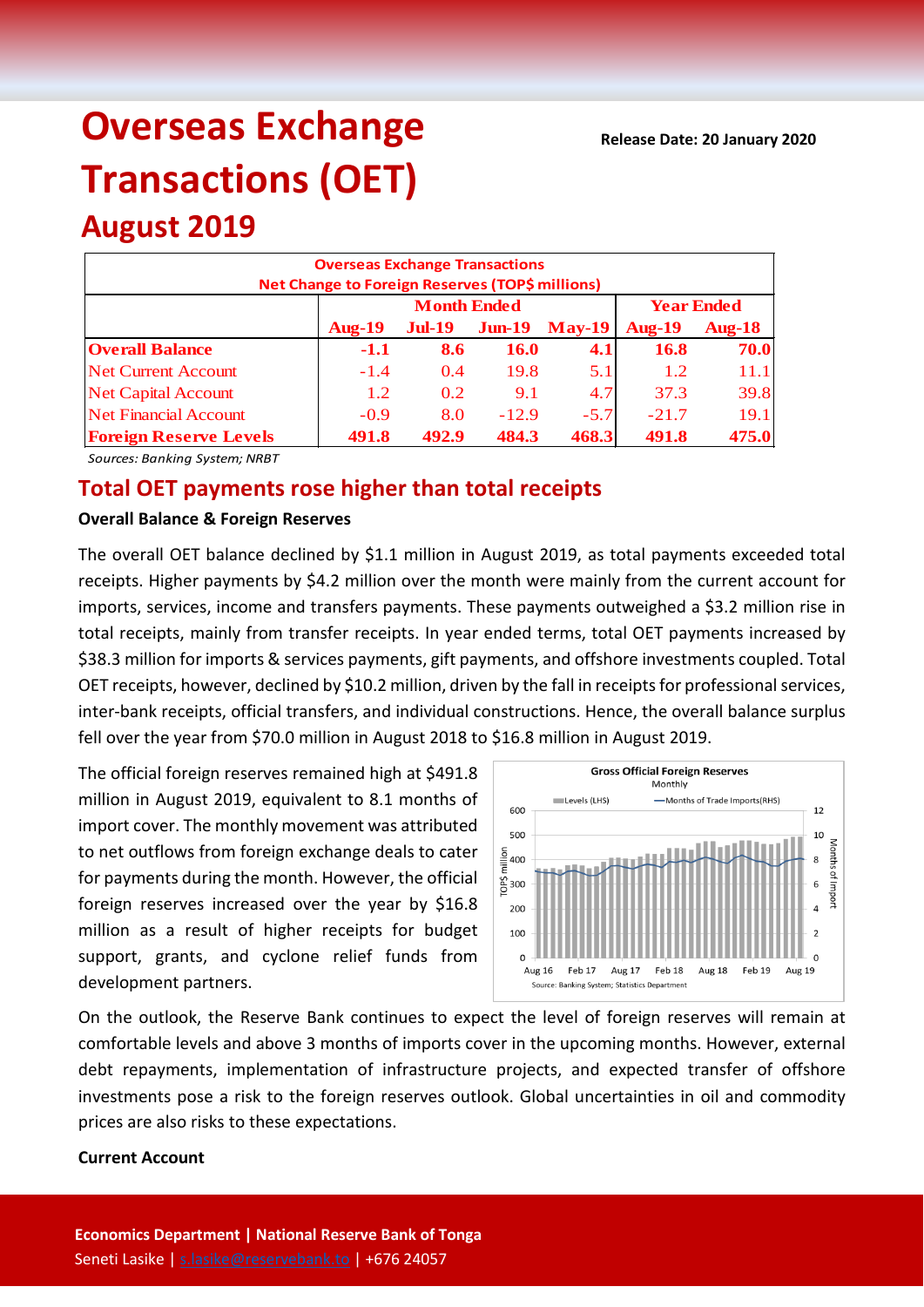# **Overseas Exchange Transactions (OET)**

# **August 2019**

| <b>Overseas Exchange Transactions</b><br>Net Change to Foreign Reserves (TOP\$ millions) |               |                    |                   |               |               |               |  |  |  |
|------------------------------------------------------------------------------------------|---------------|--------------------|-------------------|---------------|---------------|---------------|--|--|--|
|                                                                                          |               | <b>Month Ended</b> | <b>Year Ended</b> |               |               |               |  |  |  |
|                                                                                          | <b>Aug-19</b> | <b>Jul-19</b>      | $J$ un-19         | <b>May-19</b> | <b>Aug-19</b> | <b>Aug-18</b> |  |  |  |
| <b>Overall Balance</b>                                                                   | $-1.1$        | 8.6                | <b>16.0</b>       | 4.1           | 16.8          | 70.0          |  |  |  |
| <b>Net Current Account</b>                                                               | $-1.4$        | 0.4                | 19.8              | 5.1           | 1.2           | 11.1          |  |  |  |
| <b>Net Capital Account</b>                                                               | 1.2           | 0.2                | 9.1               | 4.7           | 37.3          | 39.8          |  |  |  |
| Net Financial Account                                                                    | $-0.9$        | 8.0                | $-12.9$           | $-5.7$        | $-21.7$       | 19.1          |  |  |  |
| <b>Foreign Reserve Levels</b>                                                            | 491.8         | 492.9              | 484.3             | 468.3         | 491.8         | 475.0         |  |  |  |

*Sources: Banking System; NRBT*

## **Total OET payments rose higher than total receipts**

#### **Overall Balance & Foreign Reserves**

The overall OET balance declined by \$1.1 million in August 2019, as total payments exceeded total receipts. Higher payments by \$4.2 million over the month were mainly from the current account for imports, services, income and transfers payments. These payments outweighed a \$3.2 million rise in total receipts, mainly from transfer receipts. In year ended terms, total OET payments increased by \$38.3 million for imports & services payments, gift payments, and offshore investments coupled. Total OET receipts, however, declined by \$10.2 million, driven by the fall in receipts for professional services, inter-bank receipts, official transfers, and individual constructions. Hence, the overall balance surplus fell over the year from \$70.0 million in August 2018 to \$16.8 million in August 2019.

The official foreign reserves remained high at \$491.8 million in August 2019, equivalent to 8.1 months of import cover. The monthly movement was attributed to net outflows from foreign exchange deals to cater for payments during the month. However, the official foreign reserves increased over the year by \$16.8 million as a result of higher receipts for budget support, grants, and cyclone relief funds from development partners.



On the outlook, the Reserve Bank continues to expect the level of foreign reserves will remain at comfortable levels and above 3 months of imports cover in the upcoming months. However, external debt repayments, implementation of infrastructure projects, and expected transfer of offshore investments pose a risk to the foreign reserves outlook. Global uncertainties in oil and commodity prices are also risks to these expectations.

#### **Current Account**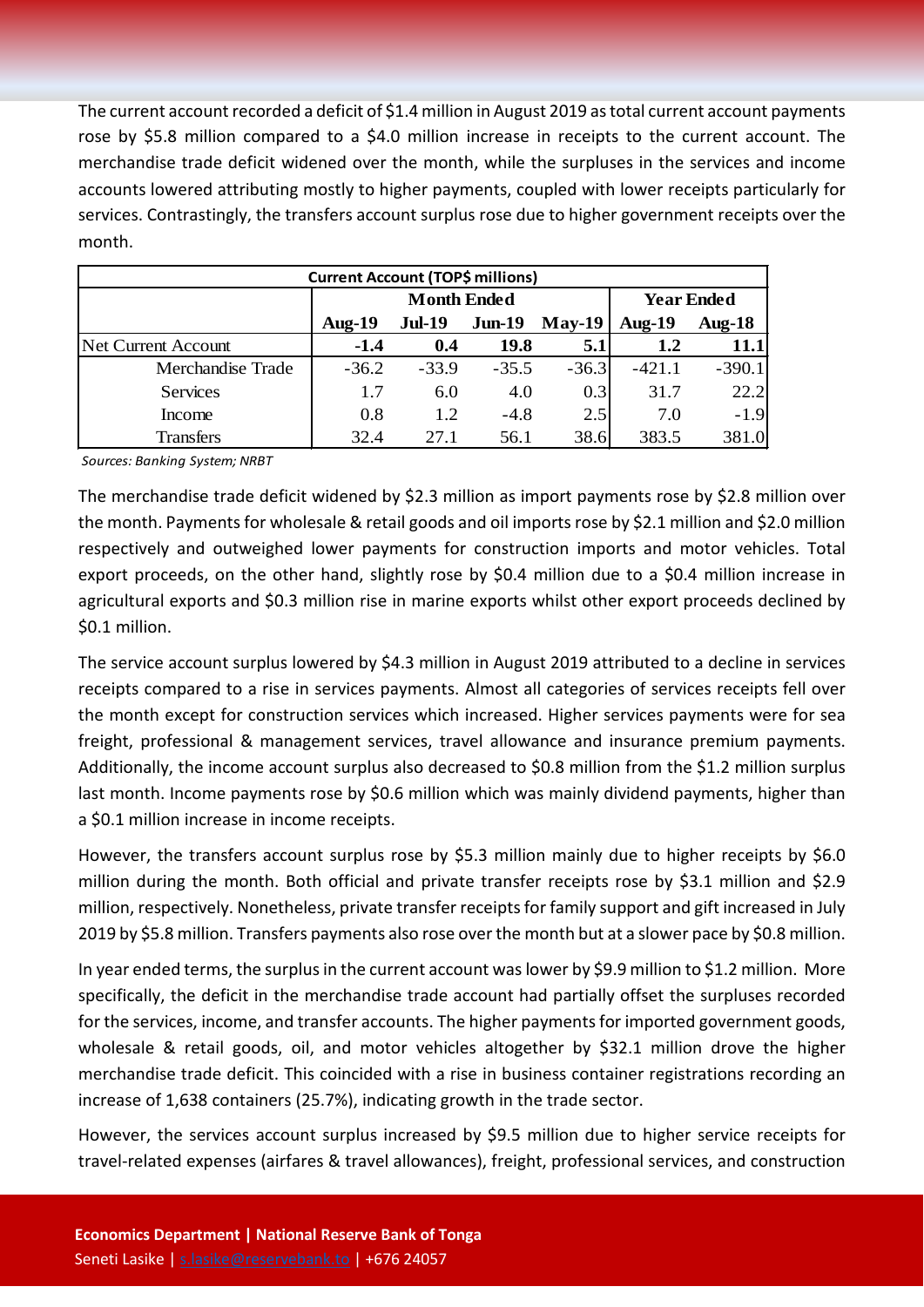The current account recorded a deficit of \$1.4 million in August 2019 as total current account payments rose by \$5.8 million compared to a \$4.0 million increase in receipts to the current account. The merchandise trade deficit widened over the month, while the surpluses in the services and income accounts lowered attributing mostly to higher payments, coupled with lower receipts particularly for services. Contrastingly, the transfers account surplus rose due to higher government receipts over the month.

| <b>Current Account (TOP\$ millions)</b> |           |                    |                   |          |                  |           |  |  |  |
|-----------------------------------------|-----------|--------------------|-------------------|----------|------------------|-----------|--|--|--|
|                                         |           | <b>Month Ended</b> | <b>Year Ended</b> |          |                  |           |  |  |  |
|                                         | Aug- $19$ | <b>Jul-19</b>      | $Jun-19$          | $May-19$ | Aug- $19$        | Aug- $18$ |  |  |  |
| <b>Net Current Account</b>              | $-1.4$    | 0.4                | 19.8              | 5.1      | $1.2\phantom{0}$ | 11.1      |  |  |  |
| Merchandise Trade                       | $-36.2$   | $-33.9$            | $-35.5$           | $-36.3$  | $-421.1$         | $-390.1$  |  |  |  |
| <b>Services</b>                         | 1.7       | 6.0                | 4.0               | 0.3      | 31.7             | 22.2      |  |  |  |
| Income                                  | 0.8       | 1.2                | $-4.8$            | 2.5      | 7.0              | $-1.9$    |  |  |  |
| <b>Transfers</b>                        | 32.4      | 27.1               | 56.1              | 38.6     | 383.5            | 381.0     |  |  |  |

*Sources: Banking System; NRBT*

The merchandise trade deficit widened by \$2.3 million as import payments rose by \$2.8 million over the month. Payments for wholesale & retail goods and oil imports rose by \$2.1 million and \$2.0 million respectively and outweighed lower payments for construction imports and motor vehicles. Total export proceeds, on the other hand, slightly rose by \$0.4 million due to a \$0.4 million increase in agricultural exports and \$0.3 million rise in marine exports whilst other export proceeds declined by \$0.1 million.

The service account surplus lowered by \$4.3 million in August 2019 attributed to a decline in services receipts compared to a rise in services payments. Almost all categories of services receipts fell over the month except for construction services which increased. Higher services payments were for sea freight, professional & management services, travel allowance and insurance premium payments. Additionally, the income account surplus also decreased to \$0.8 million from the \$1.2 million surplus last month. Income payments rose by \$0.6 million which was mainly dividend payments, higher than a \$0.1 million increase in income receipts.

However, the transfers account surplus rose by \$5.3 million mainly due to higher receipts by \$6.0 million during the month. Both official and private transfer receipts rose by \$3.1 million and \$2.9 million, respectively. Nonetheless, private transfer receipts for family support and gift increased in July 2019 by \$5.8 million. Transfers payments also rose over the month but at a slower pace by \$0.8 million.

In year ended terms, the surplus in the current account was lower by \$9.9 million to \$1.2 million. More specifically, the deficit in the merchandise trade account had partially offset the surpluses recorded for the services, income, and transfer accounts. The higher payments for imported government goods, wholesale & retail goods, oil, and motor vehicles altogether by \$32.1 million drove the higher merchandise trade deficit. This coincided with a rise in business container registrations recording an increase of 1,638 containers (25.7%), indicating growth in the trade sector.

However, the services account surplus increased by \$9.5 million due to higher service receipts for travel-related expenses (airfares & travel allowances), freight, professional services, and construction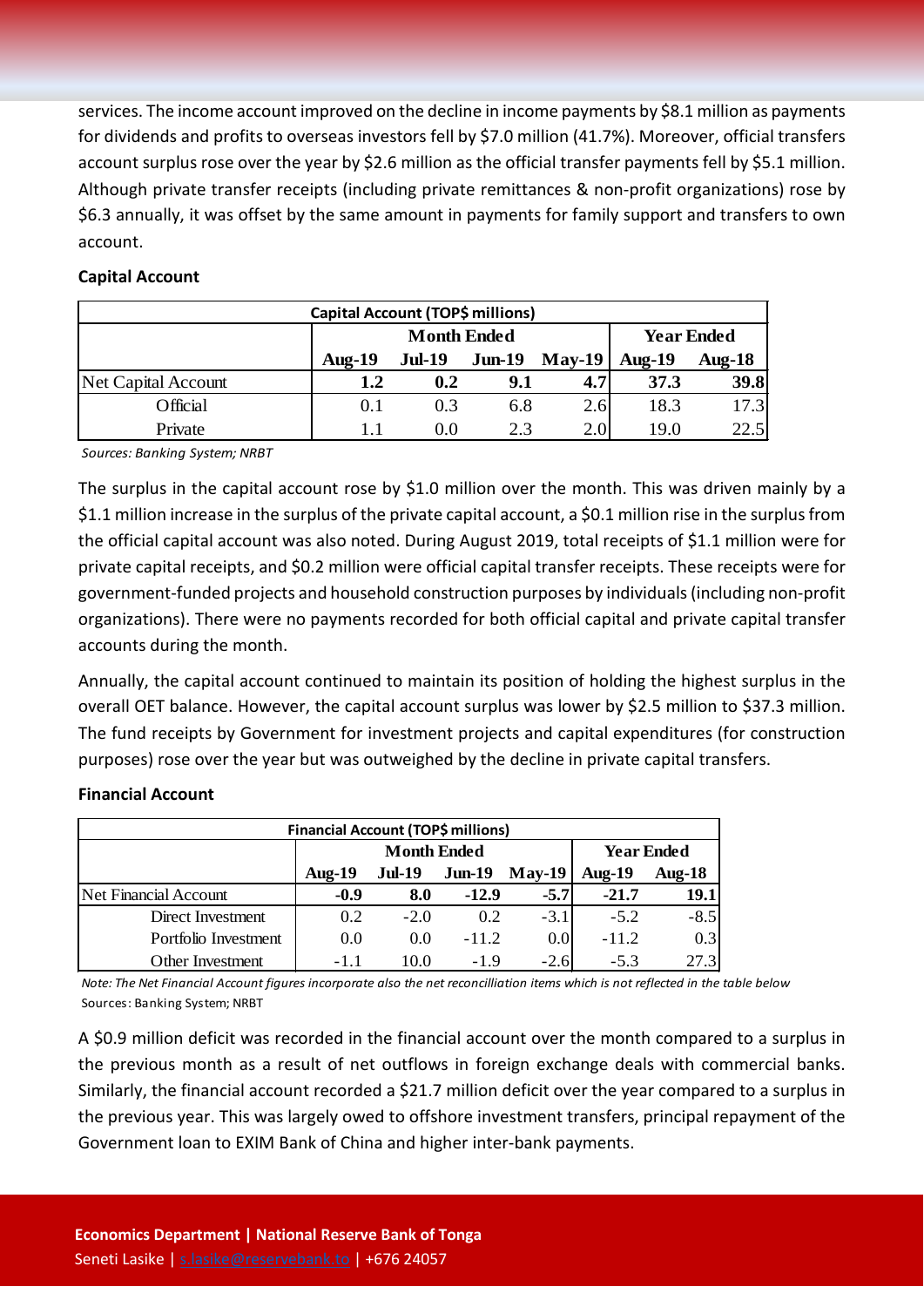services. The income account improved on the decline in income payments by \$8.1 million as payments for dividends and profits to overseas investors fell by \$7.0 million (41.7%). Moreover, official transfers account surplus rose over the year by \$2.6 million as the official transfer payments fell by \$5.1 million. Although private transfer receipts (including private remittances & non-profit organizations) rose by \$6.3 annually, it was offset by the same amount in payments for family support and transfers to own account.

#### **Capital Account**

| Capital Account (TOP\$ millions) |           |                    |                   |          |           |               |  |  |
|----------------------------------|-----------|--------------------|-------------------|----------|-----------|---------------|--|--|
|                                  |           | <b>Month Ended</b> | <b>Year Ended</b> |          |           |               |  |  |
|                                  | Aug- $19$ | <b>Jul-19</b>      | $J$ un-19         | $May-19$ | Aug- $19$ | <b>Aug-18</b> |  |  |
| Net Capital Account              | 1.2       | 0.2                | 9.1               | 4.7      | 37.3      | 39.8          |  |  |
| Official                         | 0.1       | 0.3                | 6.8               | 2.6      | 18.3      | 17.3          |  |  |
| Private                          |           | 0.0                | 2.3               | 2.0      | 19.0      | 22.5          |  |  |

*Sources: Banking System; NRBT*

The surplus in the capital account rose by \$1.0 million over the month. This was driven mainly by a \$1.1 million increase in the surplus of the private capital account, a \$0.1 million rise in the surplus from the official capital account was also noted. During August 2019, total receipts of \$1.1 million were for private capital receipts, and \$0.2 million were official capital transfer receipts. These receipts were for government-funded projects and household construction purposes by individuals (including non-profit organizations). There were no payments recorded for both official capital and private capital transfer accounts during the month.

Annually, the capital account continued to maintain its position of holding the highest surplus in the overall OET balance. However, the capital account surplus was lower by \$2.5 million to \$37.3 million. The fund receipts by Government for investment projects and capital expenditures (for construction purposes) rose over the year but was outweighed by the decline in private capital transfers.

### **Financial Account (TOP\$ millions) Aug-19 Jul-19 Jun-19 May-19 Aug-19 Aug-18** Net Financial Account **-0.9 8.0 -12.9 -5.7 -21.7 19.1** Direct Investment 1 0.2 -2.0 0.2 -3.1 -5.2 -8.5 Portfolio Investment  $\begin{bmatrix} 0.0 & 0.0 & -11.2 & 0.0 & -11.2 & 0.3 \end{bmatrix}$ Other Investment 1 -1.1 10.0 -1.9 -2.6 -5.3 27.3 **Month Ended Year Ended**

#### **Financial Account**

*Note: The Net Financial Account figures incorporate also the net reconcilliation items which is not reflected in the table below* Sources: Banking System; NRBT

A \$0.9 million deficit was recorded in the financial account over the month compared to a surplus in the previous month as a result of net outflows in foreign exchange deals with commercial banks. Similarly, the financial account recorded a \$21.7 million deficit over the year compared to a surplus in the previous year. This was largely owed to offshore investment transfers, principal repayment of the Government loan to EXIM Bank of China and higher inter-bank payments.